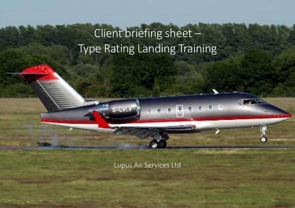# Client briefing sheet – Type Rating Landing Training

97 O.

Lupus Air Services Ltd

Page 1 of 4 Rev: 0 of 4 Rev: 0 of 4 Rev: 0 of 4 Rev: 0 of 4 Rev: 0 of 4 Rev: 0 of 4 Rev: 0 of 4 Rev: 0 of 4 Rev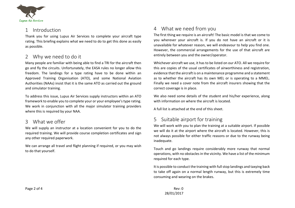

## 1 Introduction

Thank you for using Lupus Air Services to complete your aircraft type rating. This briefing explains what we need to do to get this done as easily as possible.

## 2 Why we need to do it

Many people are familiar with being able to find a TRI for the aircraft then go and fly the circuits. Unfortunately, the EASA rules no longer allow this freedom. The landings for a type rating have to be done within an Approved Training Organisation (ATO), and some National Aviation Authorities (NAAs) insist that it is the same ATO as carried out the ground and simulator training.

To address this issue, Lupus Air Services supply instructors within an ATO framework to enable you to complete your or your employee's type rating. We work in conjunction with all the major simulator training providers where this is required by your NAA.

## 3 What we offer

We will supply an instructor at a location convenient for you to do the required training. We will provide course completion certificates and sign any other required paperwork.

We can arrange all travel and flight planning if required, or you may wish to do that yourself.

## 4 What we need from you

The first thing we require is an aircraft! The basic model is that we come to you wherever your aircraft is. If you do not have an aircraft or it is unavailable for whatever reason, we will endeavour to help you find one. However, the commercial arrangements for the use of that aircraft are entirely between you and the owner/operator.

Whichever aircraft we use, it has to be listed on our ATO. All we require for this are copies of the usual certificates of airworthiness and registration, evidence that the aircraft is on a maintenance programme and a statement as to whether the aircraft has its own MEL or is operating to a MMEL. Finally we need a cover note from the aircraft insurers showing that the correct coverage is in place.

We also need some details of the student and his/her experience, along with information on where the aircraft is located.

A full list is attached at the end of this sheet.

## 5 Suitable airport for training

We will work with you to plan the training at a suitable airport. If possible we will do it at the airport where the aircraft is located. However, this is not always possible for either traffic reasons or due to the runway being inadequate.

Touch and go landings require considerably more runway that normal operations, with no obstacles in the vicinity. We have a list of the minimum required for each type.

It is possible to conduct the training with full stop landings and taxying back to take off again on a normal length runway, but this is extremely time consuming and wearing on the brakes.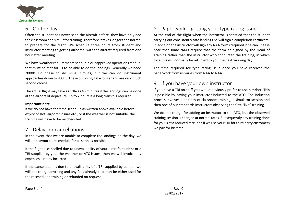

## 6 On the day

Often the student has never seen the aircraft before, they have only had the classroom and simulator training. Therefore it takes longer than normal to prepare for the flight. We schedule three hours from student and instructor meeting to getting airborne, with the aircraft required from one hour after meeting.

We have weather requirements set out in our approved operations manual that must be met for us to be able to do the landings. Generally we need 2000ft cloudbase to do visual circuits, but we can do instrument approaches down to 800 ft. These obviously take longer and are very much second choice.

The actual flight may take as little as 45 minutes if the landings can be done at the airport of departure, up to 2 hours if a long transit is required.

#### **Important note**

If we do not have the time schedule as written above available before expiry of slot, airport closure etc., or if the weather is not suitable, the training will have to be rescheduled.

## Delays or cancellations

In the event that we are unable to complete the landings on the day, we will endeavour to reschedule for as soon as possible.

If the flight is cancelled due to unavailability of your aircraft, student or a TRI supplied by you, the weather or ATC issues, then we will invoice any expenses already incurred.

If the cancellation is due to unavailability of a TRI supplied by us then we will not charge anything and any fees already paid may be either used for the rescheduled training or refunded on request.

## 8 Paperwork – getting your type rating issued

At the end of the flight when the instructor is satisfied that the student carrying out consistently safe landings he will sign a completion certificate. In addition the instructor will sign any NAA forms required if he can. Please note that some NAAs require that the form be signed by the Head of Training rather than the instructor who conducted the training, in which case this will normally be returned to you the next working day.

The time required for type rating issue once you have received the paperwork from us varies from NAA to NAA.

## 9 If you have your own instructor

If you have a TRI on staff you would obviously prefer to use him/her. This is possible by having your instructor inducted to the ATO. The induction process involves a half day of classroom training, a simulator session and then one of our standards instructors observing the first "live" training.

We do not charge for adding an instructor to the ATO, but the observed training session is charged at normal rates. Subsequently any training done for you is at a reduced rate, and if we use your TRI for third party customers we pay for his time.